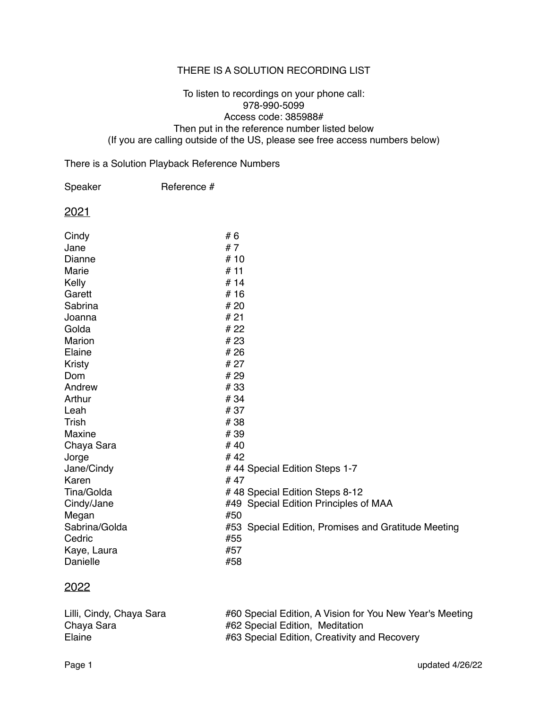### THERE IS A SOLUTION RECORDING LIST

#### To listen to recordings on your phone call: 978-990-5099 Access code: 385988# Then put in the reference number listed below (If you are calling outside of the US, please see free access numbers below)

### There is a Solution Playback Reference Numbers

| Speaker       | Reference # |                                                     |
|---------------|-------------|-----------------------------------------------------|
| 2021          |             |                                                     |
| Cindy         |             | #6                                                  |
| Jane          |             | #7                                                  |
| Dianne        |             | #10                                                 |
| Marie         |             | #11                                                 |
| Kelly         |             | #14                                                 |
| Garett        |             | #16                                                 |
| Sabrina       |             | # 20                                                |
| Joanna        |             | #21                                                 |
| Golda         |             | # 22                                                |
| <b>Marion</b> |             | #23                                                 |
| Elaine        |             | #26                                                 |
| <b>Kristy</b> |             | # 27                                                |
| Dom           |             | #29                                                 |
| Andrew        |             | #33                                                 |
| Arthur        |             | #34                                                 |
| Leah          |             | #37                                                 |
| <b>Trish</b>  |             | #38                                                 |
| <b>Maxine</b> |             | #39                                                 |
| Chaya Sara    |             | #40                                                 |
| Jorge         |             | #42                                                 |
| Jane/Cindy    |             | #44 Special Edition Steps 1-7                       |
| Karen         |             | #47                                                 |
| Tina/Golda    |             | #48 Special Edition Steps 8-12                      |
| Cindy/Jane    |             | #49 Special Edition Principles of MAA               |
| Megan         |             | #50                                                 |
| Sabrina/Golda |             | #53 Special Edition, Promises and Gratitude Meeting |
| Cedric        |             | #55                                                 |
| Kaye, Laura   |             | #57                                                 |
| Danielle      |             | #58                                                 |

## 2022

| Lilli, Cindy, Chaya Sara | #60 Special Edition, A Vision for You New Year's Meeting |
|--------------------------|----------------------------------------------------------|
| Chaya Sara               | #62 Special Edition, Meditation                          |
| Elaine                   | #63 Special Edition, Creativity and Recovery             |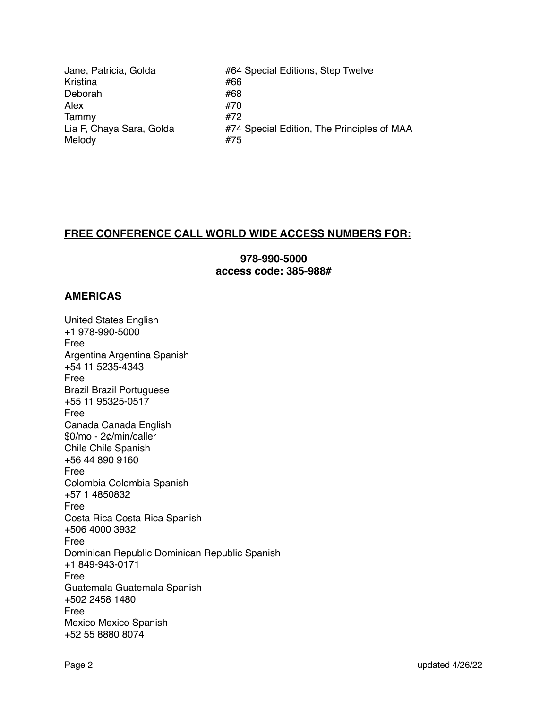Jane, Patricia, Golda! ! ! #64 Special Editions, Step Twelve Kristina! ! ! ! #66 Deborah! ! ! ! #68 Alex #70 Tammy #72 Lia F, Chaya Sara, Golda **1998 and #74** Special Edition, The Principles of MAA Melody #75

# **FREE CONFERENCE CALL WORLD WIDE ACCESS NUMBERS FOR:**

**978-990-5000 access code: 385-988#**

### **AMERICAS**

United States English +1 978-990-5000 Free Argentina Argentina Spanish +54 11 5235-4343 Free Brazil Brazil Portuguese +55 11 95325-0517 Free Canada Canada English \$0/mo - 2¢/min/caller Chile Chile Spanish +56 44 890 9160 Free Colombia Colombia Spanish +57 1 4850832 Free Costa Rica Costa Rica Spanish +506 4000 3932 Free Dominican Republic Dominican Republic Spanish +1 849-943-0171 Free Guatemala Guatemala Spanish +502 2458 1480 Free Mexico Mexico Spanish +52 55 8880 8074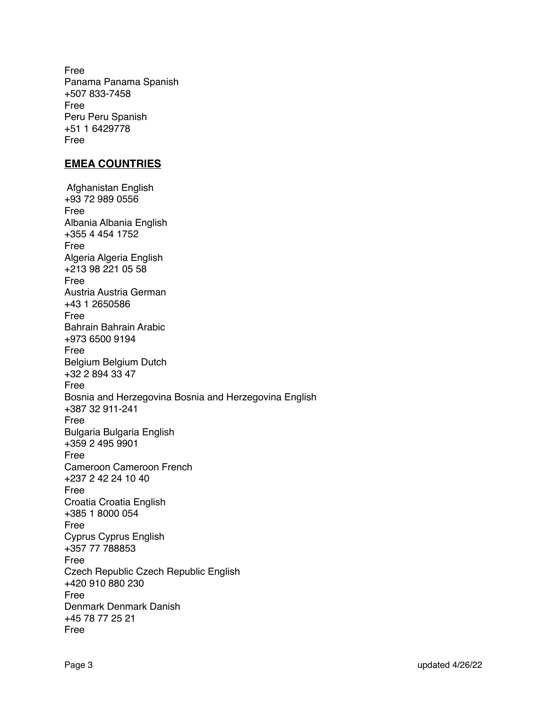Free Panama Panama Spanish +507 833-7458 Free Peru Peru Spanish +51 1 6429778 Free

### **EMEA COUNTRIES**

 Afghanistan English +93 72 989 0556 Free Albania Albania English +355 4 454 1752 Free Algeria Algeria English +213 98 221 05 58 Free Austria Austria German +43 1 2650586 Free Bahrain Bahrain Arabic +973 6500 9194 Free Belgium Belgium Dutch +32 2 894 33 47 Free Bosnia and Herzegovina Bosnia and Herzegovina English +387 32 911-241 Free Bulgaria Bulgaria English +359 2 495 9901 Free Cameroon Cameroon French +237 2 42 24 10 40 Free Croatia Croatia English +385 1 8000 054 Free Cyprus Cyprus English +357 77 788853 Free Czech Republic Czech Republic English +420 910 880 230 Free Denmark Denmark Danish +45 78 77 25 21 Free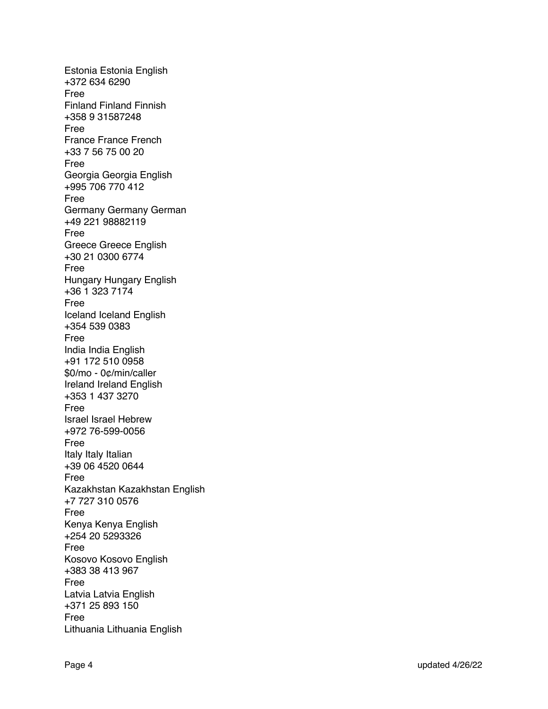Estonia Estonia English +372 634 6290 Free Finland Finland Finnish +358 9 31587248 Free France France French +33 7 56 75 00 20 Free Georgia Georgia English +995 706 770 412 Free Germany Germany German +49 221 98882119 Free Greece Greece English +30 21 0300 6774 Free Hungary Hungary English +36 1 323 7174 Free Iceland Iceland English +354 539 0383 Free India India English +91 172 510 0958 \$0/mo - 0¢/min/caller Ireland Ireland English +353 1 437 3270 Free Israel Israel Hebrew +972 76-599-0056 Free Italy Italy Italian +39 06 4520 0644 Free Kazakhstan Kazakhstan English +7 727 310 0576 Free Kenya Kenya English +254 20 5293326 Free Kosovo Kosovo English +383 38 413 967 Free Latvia Latvia English +371 25 893 150 Free Lithuania Lithuania English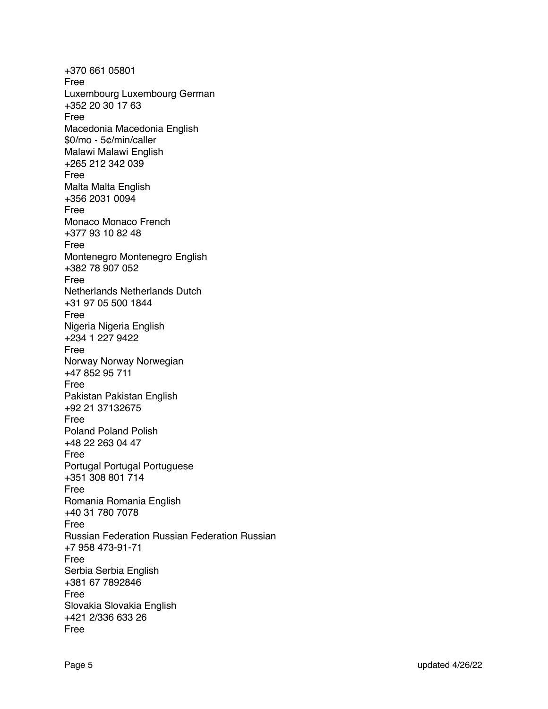+370 661 05801 Free Luxembourg Luxembourg German +352 20 30 17 63 Free Macedonia Macedonia English \$0/mo - 5¢/min/caller Malawi Malawi English +265 212 342 039 Free Malta Malta English +356 2031 0094 Free Monaco Monaco French +377 93 10 82 48 Free Montenegro Montenegro English +382 78 907 052 Free Netherlands Netherlands Dutch +31 97 05 500 1844 Free Nigeria Nigeria English +234 1 227 9422 Free Norway Norway Norwegian +47 852 95 711 Free Pakistan Pakistan English +92 21 37132675 Free Poland Poland Polish +48 22 263 04 47 Free Portugal Portugal Portuguese +351 308 801 714 Free Romania Romania English +40 31 780 7078 Free Russian Federation Russian Federation Russian +7 958 473-91-71 Free Serbia Serbia English +381 67 7892846 Free Slovakia Slovakia English +421 2/336 633 26 Free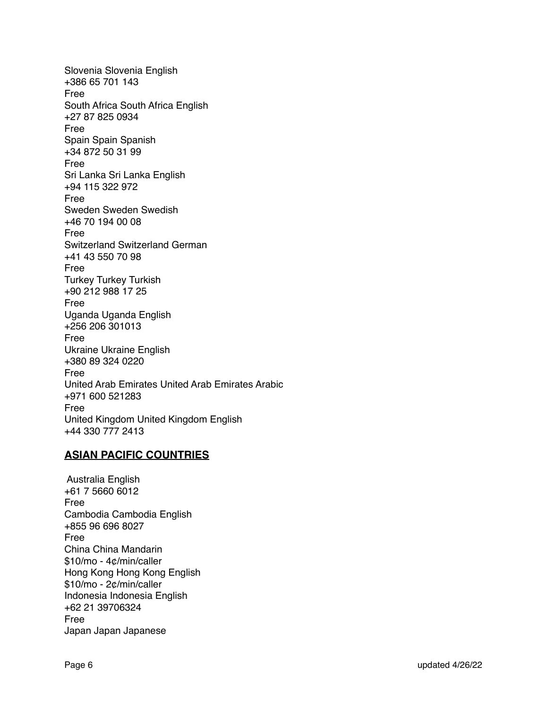Slovenia Slovenia English +386 65 701 143 Free South Africa South Africa English +27 87 825 0934 Free Spain Spain Spanish +34 872 50 31 99 Free Sri Lanka Sri Lanka English +94 115 322 972 Free Sweden Sweden Swedish +46 70 194 00 08 Free Switzerland Switzerland German +41 43 550 70 98 Free Turkey Turkey Turkish +90 212 988 17 25 Free Uganda Uganda English +256 206 301013 Free Ukraine Ukraine English +380 89 324 0220 Free United Arab Emirates United Arab Emirates Arabic +971 600 521283 Free United Kingdom United Kingdom English +44 330 777 2413

## **ASIAN PACIFIC COUNTRIES**

 Australia English +61 7 5660 6012 Free Cambodia Cambodia English +855 96 696 8027 Free China China Mandarin \$10/mo - 4¢/min/caller Hong Kong Hong Kong English \$10/mo - 2¢/min/caller Indonesia Indonesia English +62 21 39706324 Free Japan Japan Japanese